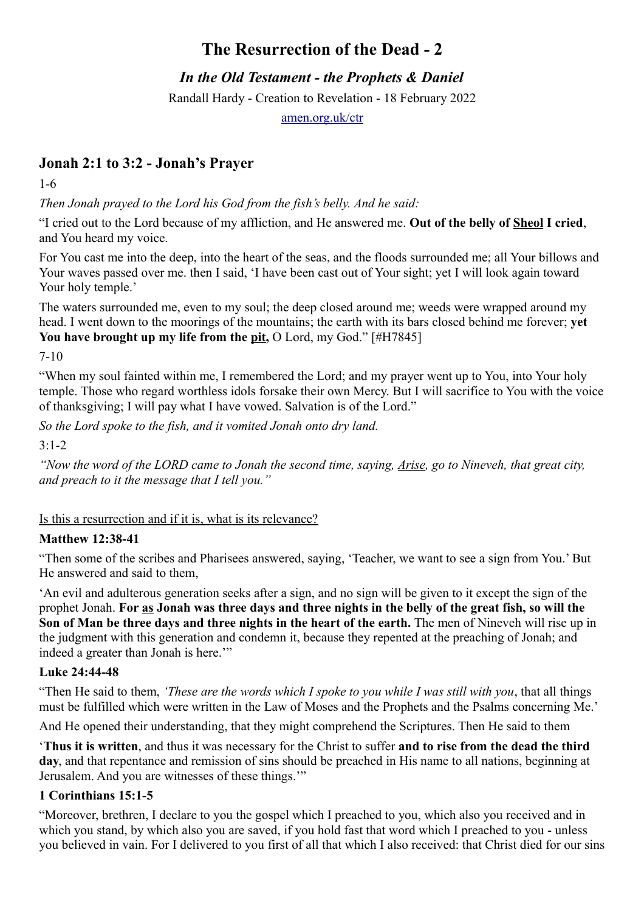# **The Resurrection of the Dead - 2**

*In the Old Testament - the Prophets & Daniel*

Randall Hardy - Creation to Revelation - 18 February 2022

[amen.org.uk/ctr](https://amen.org.uk/ctr)

## **Jonah 2:1 to 3:2 - Jonah's Prayer**

1-6

*Then Jonah prayed to the Lord his God from the fish's belly. And he said:*

"I cried out to the Lord because of my affliction, and He answered me. **Out of the belly of Sheol I cried**, and You heard my voice.

For You cast me into the deep, into the heart of the seas, and the floods surrounded me; all Your billows and Your waves passed over me. then I said, 'I have been cast out of Your sight; yet I will look again toward Your holy temple.'

The waters surrounded me, even to my soul; the deep closed around me; weeds were wrapped around my head. I went down to the moorings of the mountains; the earth with its bars closed behind me forever; **yet**  You have brought up my life from the pit, O Lord, my God." [#H7845]

7-10

"When my soul fainted within me, I remembered the Lord; and my prayer went up to You, into Your holy temple. Those who regard worthless idols forsake their own Mercy. But I will sacrifice to You with the voice of thanksgiving; I will pay what I have vowed. Salvation is of the Lord."

*So the Lord spoke to the fish, and it vomited Jonah onto dry land.*

3:1-2

*"Now the word of the LORD came to Jonah the second time, saying, Arise, go to Nineveh, that great city, and preach to it the message that I tell you."*

Is this a resurrection and if it is, what is its relevance?

### **Matthew 12:38-41**

"Then some of the scribes and Pharisees answered, saying, 'Teacher, we want to see a sign from You.' But He answered and said to them,

'An evil and adulterous generation seeks after a sign, and no sign will be given to it except the sign of the prophet Jonah. **For as Jonah was three days and three nights in the belly of the great fish, so will the Son of Man be three days and three nights in the heart of the earth.** The men of Nineveh will rise up in the judgment with this generation and condemn it, because they repented at the preaching of Jonah; and indeed a greater than Jonah is here."

### **Luke 24:44-48**

"Then He said to them, *'These are the words which I spoke to you while I was still with you*, that all things must be fulfilled which were written in the Law of Moses and the Prophets and the Psalms concerning Me.'

And He opened their understanding, that they might comprehend the Scriptures. Then He said to them

'**Thus it is written**, and thus it was necessary for the Christ to suffer **and to rise from the dead the third day**, and that repentance and remission of sins should be preached in His name to all nations, beginning at Jerusalem. And you are witnesses of these things.'"

### **1 Corinthians 15:1-5**

"Moreover, brethren, I declare to you the gospel which I preached to you, which also you received and in which you stand, by which also you are saved, if you hold fast that word which I preached to you - unless you believed in vain. For I delivered to you first of all that which I also received: that Christ died for our sins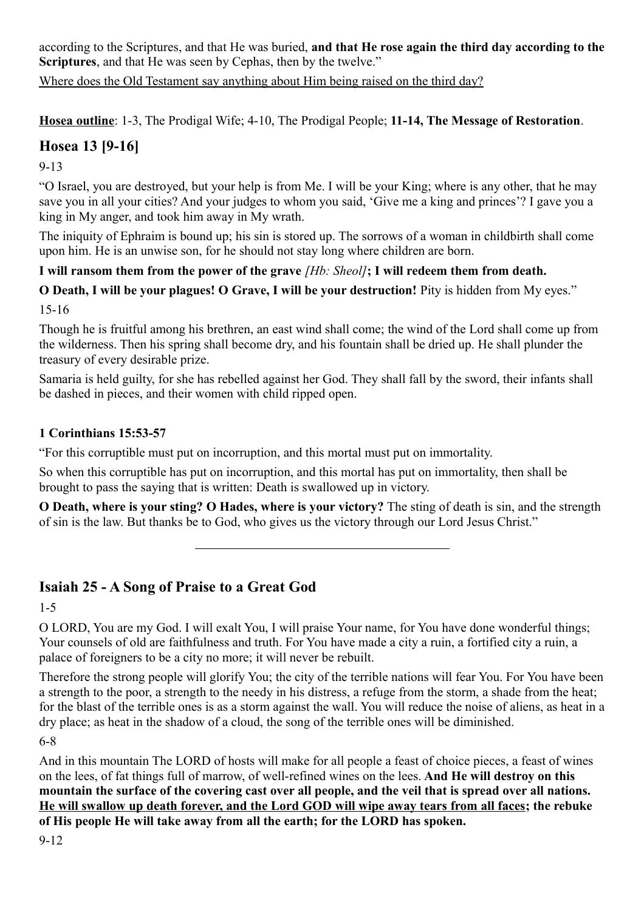according to the Scriptures, and that He was buried, **and that He rose again the third day according to the Scriptures**, and that He was seen by Cephas, then by the twelve."

Where does the Old Testament say anything about Him being raised on the third day?

**Hosea outline**: 1-3, The Prodigal Wife; 4-10, The Prodigal People; **11-14, The Message of Restoration**.

## **Hosea 13 [9-16]**

9-13

"O Israel, you are destroyed, but your help is from Me. I will be your King; where is any other, that he may save you in all your cities? And your judges to whom you said, 'Give me a king and princes'? I gave you a king in My anger, and took him away in My wrath.

The iniquity of Ephraim is bound up; his sin is stored up. The sorrows of a woman in childbirth shall come upon him. He is an unwise son, for he should not stay long where children are born.

### **I will ransom them from the power of the grave** *[Hb: Sheol]***; I will redeem them from death.**

### **O Death, I will be your plagues! O Grave, I will be your destruction!** Pity is hidden from My eyes."

15-16

Though he is fruitful among his brethren, an east wind shall come; the wind of the Lord shall come up from the wilderness. Then his spring shall become dry, and his fountain shall be dried up. He shall plunder the treasury of every desirable prize.

Samaria is held guilty, for she has rebelled against her God. They shall fall by the sword, their infants shall be dashed in pieces, and their women with child ripped open.

### **1 Corinthians 15:53-57**

"For this corruptible must put on incorruption, and this mortal must put on immortality.

So when this corruptible has put on incorruption, and this mortal has put on immortality, then shall be brought to pass the saying that is written: Death is swallowed up in victory.

**O Death, where is your sting? O Hades, where is your victory?** The sting of death is sin, and the strength of sin is the law. But thanks be to God, who gives us the victory through our Lord Jesus Christ."

## **Isaiah 25 - A Song of Praise to a Great God**

1-5

O LORD, You are my God. I will exalt You, I will praise Your name, for You have done wonderful things; Your counsels of old are faithfulness and truth. For You have made a city a ruin, a fortified city a ruin, a palace of foreigners to be a city no more; it will never be rebuilt.

Therefore the strong people will glorify You; the city of the terrible nations will fear You. For You have been a strength to the poor, a strength to the needy in his distress, a refuge from the storm, a shade from the heat; for the blast of the terrible ones is as a storm against the wall. You will reduce the noise of aliens, as heat in a dry place; as heat in the shadow of a cloud, the song of the terrible ones will be diminished.

6-8

And in this mountain The LORD of hosts will make for all people a feast of choice pieces, a feast of wines on the lees, of fat things full of marrow, of well-refined wines on the lees. **And He will destroy on this mountain the surface of the covering cast over all people, and the veil that is spread over all nations. He will swallow up death forever, and the Lord GOD will wipe away tears from all faces; the rebuke of His people He will take away from all the earth; for the LORD has spoken.**

9-12